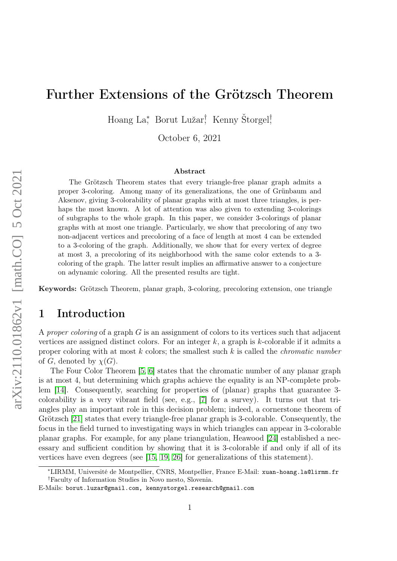# Further Extensions of the Grötzsch Theorem

Hoang La<sup>∗</sup> , Borut Lužar† , Kenny Štorgel† ,

October 6, 2021

#### Abstract

The Grötzsch Theorem states that every triangle-free planar graph admits a proper 3-coloring. Among many of its generalizations, the one of Grünbaum and Aksenov, giving 3-colorability of planar graphs with at most three triangles, is perhaps the most known. A lot of attention was also given to extending 3-colorings of subgraphs to the whole graph. In this paper, we consider 3-colorings of planar graphs with at most one triangle. Particularly, we show that precoloring of any two non-adjacent vertices and precoloring of a face of length at most 4 can be extended to a 3-coloring of the graph. Additionally, we show that for every vertex of degree at most 3, a precoloring of its neighborhood with the same color extends to a 3 coloring of the graph. The latter result implies an affirmative answer to a conjecture on adynamic coloring. All the presented results are tight.

Keywords: Grötzsch Theorem, planar graph, 3-coloring, precoloring extension, one triangle

## 1 Introduction

A proper coloring of a graph  $G$  is an assignment of colors to its vertices such that adjacent vertices are assigned distinct colors. For an integer  $k$ , a graph is  $k$ -colorable if it admits a proper coloring with at most  $k$  colors; the smallest such  $k$  is called the *chromatic number* of G, denoted by  $\chi(G)$ .

The Four Color Theorem [\[5,](#page-16-0) [6\]](#page-17-0) states that the chromatic number of any planar graph is at most 4, but determining which graphs achieve the equality is an NP-complete problem [\[14\]](#page-17-1). Consequently, searching for properties of (planar) graphs that guarantee 3 colorability is a very vibrant field (see, e.g., [\[7\]](#page-17-2) for a survey). It turns out that triangles play an important role in this decision problem; indeed, a cornerstone theorem of Grötzsch [\[21\]](#page-17-3) states that every triangle-free planar graph is 3-colorable. Consequently, the focus in the field turned to investigating ways in which triangles can appear in 3-colorable planar graphs. For example, for any plane triangulation, Heawood [\[24\]](#page-18-0) established a necessary and sufficient condition by showing that it is 3-colorable if and only if all of its vertices have even degrees (see [\[15,](#page-17-4) [19,](#page-17-5) [26\]](#page-18-1) for generalizations of this statement).

<sup>∗</sup>LIRMM, Université de Montpellier, CNRS, Montpellier, France E-Mail: xuan-hoang.la@lirmm.fr †Faculty of Information Studies in Novo mesto, Slovenia.

E-Mails: borut.luzar@gmail.com, kennystorgel.research@gmail.com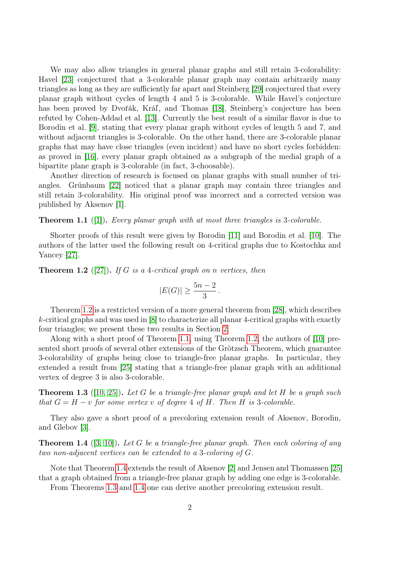We may also allow triangles in general planar graphs and still retain 3-colorability: Havel [\[23\]](#page-17-6) conjectured that a 3-colorable planar graph may contain arbitrarily many triangles as long as they are sufficiently far apart and Steinberg [\[29\]](#page-18-2) conjectured that every planar graph without cycles of length 4 and 5 is 3-colorable. While Havel's conjecture has been proved by Dvořák, Kráľ, and Thomas [\[18\]](#page-17-7), Steinberg's conjecture has been refuted by Cohen-Addad et al. [\[13\]](#page-17-8). Currently the best result of a similar flavor is due to Borodin et al. [\[9\]](#page-17-9), stating that every planar graph without cycles of length 5 and 7, and without adjacent triangles is 3-colorable. On the other hand, there are 3-colorable planar graphs that may have close triangles (even incident) and have no short cycles forbidden: as proved in [\[16\]](#page-17-10), every planar graph obtained as a subgraph of the medial graph of a bipartite plane graph is 3-colorable (in fact, 3-choosable).

Another direction of research is focused on planar graphs with small number of triangles. Grünbaum [\[22\]](#page-17-11) noticed that a planar graph may contain three triangles and still retain 3-colorability. His original proof was incorrect and a corrected version was published by Aksenov [\[1\]](#page-16-1).

<span id="page-1-1"></span>**Theorem 1.1** ([\[1\]](#page-16-1)). Every planar graph with at most three triangles is 3-colorable.

Shorter proofs of this result were given by Borodin [\[11\]](#page-17-12) and Borodin et al. [\[10\]](#page-17-13). The authors of the latter used the following result on 4-critical graphs due to Kostochka and Yancey [\[27\]](#page-18-3).

<span id="page-1-0"></span>**Theorem 1.2** ([\[27\]](#page-18-3)). If G is a 4-critical graph on n vertices, then

$$
|E(G)| \ge \frac{5n-2}{3}.
$$

Theorem [1.2](#page-1-0) is a restricted version of a more general theorem from [\[28\]](#page-18-4), which describes k-critical graphs and was used in [\[8\]](#page-17-14) to characterize all planar 4-critical graphs with exactly four triangles; we present these two results in Section [2.](#page-4-0)

Along with a short proof of Theorem [1.1,](#page-1-1) using Theorem [1.2,](#page-1-0) the authors of [\[10\]](#page-17-13) presented short proofs of several other extensions of the Grötzsch Theorem, which guarantee 3-colorability of graphs being close to triangle-free planar graphs. In particular, they extended a result from [\[25\]](#page-18-5) stating that a triangle-free planar graph with an additional vertex of degree 3 is also 3-colorable.

<span id="page-1-3"></span>**Theorem 1.3** ([\[10,](#page-17-13) [25\]](#page-18-5)). Let G be a triangle-free planar graph and let H be a graph such that  $G = H - v$  for some vertex v of degree 4 of H. Then H is 3-colorable.

They also gave a short proof of a precoloring extension result of Aksenov, Borodin, and Glebov [\[3\]](#page-16-2).

<span id="page-1-2"></span>**Theorem 1.4** ([\[3,](#page-16-2) [10\]](#page-17-13)). Let G be a triangle-free planar graph. Then each coloring of any two non-adjacent vertices can be extended to a 3-coloring of G.

Note that Theorem [1.4](#page-1-2) extends the result of Aksenov [\[2\]](#page-16-3) and Jensen and Thomassen [\[25\]](#page-18-5) that a graph obtained from a triangle-free planar graph by adding one edge is 3-colorable.

<span id="page-1-4"></span>From Theorems [1.3](#page-1-3) and [1.4](#page-1-2) one can derive another precoloring extension result.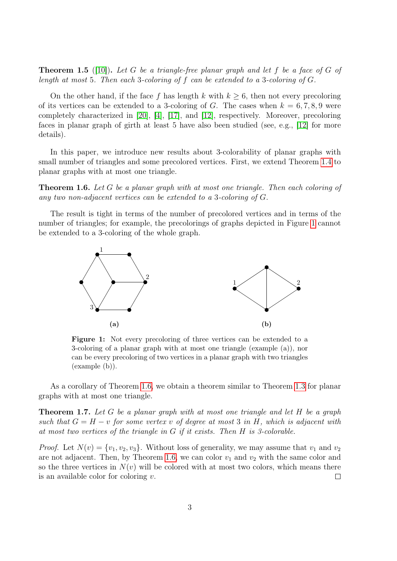**Theorem 1.5** ([\[10\]](#page-17-13)). Let G be a triangle-free planar graph and let f be a face of G of length at most 5. Then each 3-coloring of f can be extended to a 3-coloring of G.

On the other hand, if the face f has length k with  $k \geq 6$ , then not every precoloring of its vertices can be extended to a 3-coloring of G. The cases when  $k = 6, 7, 8, 9$  were completely characterized in [\[20\]](#page-17-15), [\[4\]](#page-16-4), [\[17\]](#page-17-16), and [\[12\]](#page-17-17), respectively. Moreover, precoloring faces in planar graph of girth at least 5 have also been studied (see, e.g., [\[12\]](#page-17-17) for more details).

In this paper, we introduce new results about 3-colorability of planar graphs with small number of triangles and some precolored vertices. First, we extend Theorem [1.4](#page-1-2) to planar graphs with at most one triangle.

<span id="page-2-1"></span>Theorem 1.6. Let G be a planar graph with at most one triangle. Then each coloring of any two non-adjacent vertices can be extended to a 3-coloring of G.

<span id="page-2-0"></span>The result is tight in terms of the number of precolored vertices and in terms of the number of triangles; for example, the precolorings of graphs depicted in Figure [1](#page-2-0) cannot be extended to a 3-coloring of the whole graph.



Figure 1: Not every precoloring of three vertices can be extended to a 3-coloring of a planar graph with at most one triangle (example (a)), nor can be every precoloring of two vertices in a planar graph with two triangles (example (b)).

As a corollary of Theorem [1.6,](#page-2-1) we obtain a theorem similar to Theorem [1.3](#page-1-3) for planar graphs with at most one triangle.

**Theorem 1.7.** Let G be a planar graph with at most one triangle and let H be a graph such that  $G = H - v$  for some vertex v of degree at most 3 in H, which is adjacent with at most two vertices of the triangle in G if it exists. Then H is 3-colorable.

*Proof.* Let  $N(v) = \{v_1, v_2, v_3\}$ . Without loss of generality, we may assume that  $v_1$  and  $v_2$ are not adjacent. Then, by Theorem [1.6,](#page-2-1) we can color  $v_1$  and  $v_2$  with the same color and so the three vertices in  $N(v)$  will be colored with at most two colors, which means there is an available color for coloring  $v$ .  $\Box$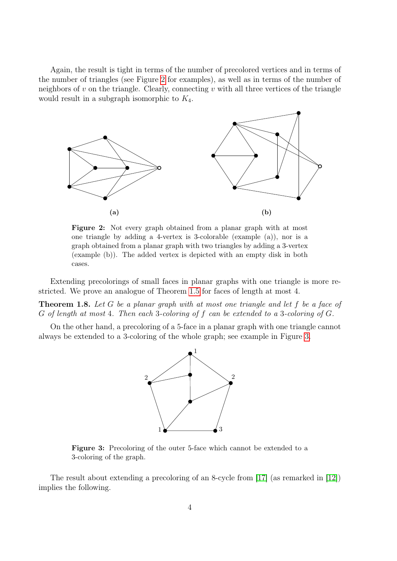Again, the result is tight in terms of the number of precolored vertices and in terms of the number of triangles (see Figure [2](#page-3-0) for examples), as well as in terms of the number of neighbors of  $v$  on the triangle. Clearly, connecting  $v$  with all three vertices of the triangle would result in a subgraph isomorphic to  $K_4$ .

<span id="page-3-0"></span>

Figure 2: Not every graph obtained from a planar graph with at most one triangle by adding a 4-vertex is 3-colorable (example (a)), nor is a graph obtained from a planar graph with two triangles by adding a 3-vertex (example (b)). The added vertex is depicted with an empty disk in both cases.

Extending precolorings of small faces in planar graphs with one triangle is more restricted. We prove an analogue of Theorem [1.5](#page-1-4) for faces of length at most 4.

<span id="page-3-3"></span>**Theorem 1.8.** Let G be a planar graph with at most one triangle and let f be a face of G of length at most 4. Then each 3-coloring of f can be extended to a 3-coloring of G.

<span id="page-3-1"></span>On the other hand, a precoloring of a 5-face in a planar graph with one triangle cannot always be extended to a 3-coloring of the whole graph; see example in Figure [3.](#page-3-1)



Figure 3: Precoloring of the outer 5-face which cannot be extended to a 3-coloring of the graph.

<span id="page-3-2"></span>The result about extending a precoloring of an 8-cycle from [\[17\]](#page-17-16) (as remarked in [\[12\]](#page-17-17)) implies the following.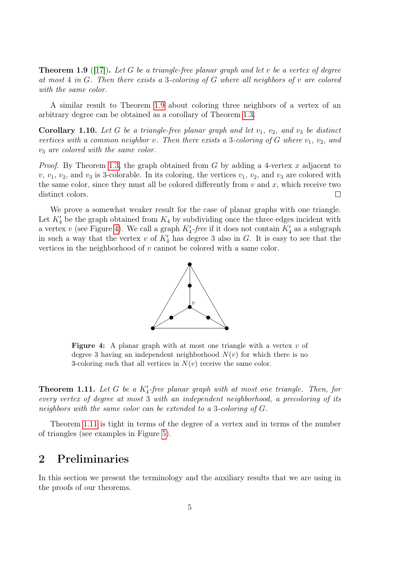**Theorem 1.9** ([\[17\]](#page-17-16)). Let G be a triangle-free planar graph and let v be a vertex of degree at most 4 in G. Then there exists a 3-coloring of G where all neighbors of v are colored with the same color.

A similar result to Theorem [1.9](#page-3-2) about coloring three neighbors of a vertex of an arbitrary degree can be obtained as a corollary of Theorem [1.3.](#page-1-3)

Corollary 1.10. Let G be a triangle-free planar graph and let  $v_1$ ,  $v_2$ , and  $v_3$  be distinct vertices with a common neighbor v. Then there exists a 3-coloring of G where  $v_1, v_2,$  and  $v_3$  are colored with the same color.

*Proof.* By Theorem [1.3,](#page-1-3) the graph obtained from G by adding a 4-vertex x adjacent to  $v, v_1, v_2$ , and  $v_3$  is 3-colorable. In its coloring, the vertices  $v_1, v_2$ , and  $v_3$  are colored with the same color, since they must all be colored differently from  $v$  and  $x$ , which receive two distinct colors.  $\Box$ 

<span id="page-4-1"></span>We prove a somewhat weaker result for the case of planar graphs with one triangle. Let  $K_4'$  be the graph obtained from  $K_4$  by subdividing once the three edges incident with a vertex v (see Figure [4\)](#page-4-1). We call a graph  $K'_{4}$ -free if it does not contain  $K'_{4}$  as a subgraph in such a way that the vertex v of  $K_4$  has degree 3 also in G. It is easy to see that the vertices in the neighborhood of v cannot be colored with a same color.



**Figure 4:** A planar graph with at most one triangle with a vertex  $v$  of degree 3 having an independent neighborhood  $N(v)$  for which there is no 3-coloring such that all vertices in  $N(v)$  receive the same color.

<span id="page-4-2"></span>**Theorem 1.11.** Let G be a  $K_4'$ -free planar graph with at most one triangle. Then, for every vertex of degree at most 3 with an independent neighborhood, a precoloring of its neighbors with the same color can be extended to a 3-coloring of G.

Theorem [1.11](#page-4-2) is tight in terms of the degree of a vertex and in terms of the number of triangles (see examples in Figure [5\)](#page-5-0).

## <span id="page-4-0"></span>2 Preliminaries

In this section we present the terminology and the auxiliary results that we are using in the proofs of our theorems.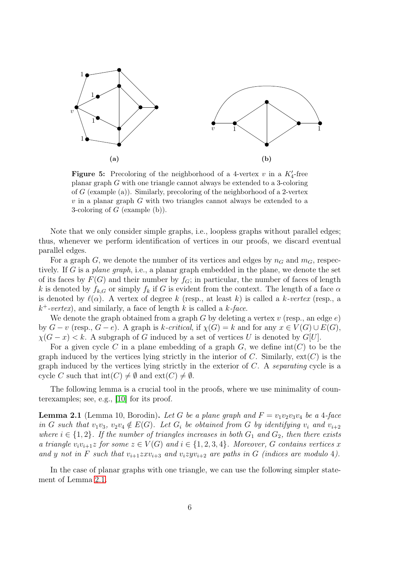<span id="page-5-0"></span>

**Figure 5:** Precoloring of the neighborhood of a 4-vertex v in a  $K_4'$ -free planar graph G with one triangle cannot always be extended to a 3-coloring of  $G$  (example (a)). Similarly, precoloring of the neighborhood of a 2-vertex  $v$  in a planar graph  $G$  with two triangles cannot always be extended to a 3-coloring of  $G$  (example  $(b)$ ).

Note that we only consider simple graphs, i.e., loopless graphs without parallel edges; thus, whenever we perform identification of vertices in our proofs, we discard eventual parallel edges.

For a graph G, we denote the number of its vertices and edges by  $n<sub>G</sub>$  and  $m<sub>G</sub>$ , respectively. If G is a plane graph, i.e., a planar graph embedded in the plane, we denote the set of its faces by  $F(G)$  and their number by  $f<sub>G</sub>$ ; in particular, the number of faces of length k is denoted by  $f_{k,G}$  or simply  $f_k$  if G is evident from the context. The length of a face  $\alpha$ is denoted by  $\ell(\alpha)$ . A vertex of degree k (resp., at least k) is called a k-vertex (resp., a  $k^+$ -vertex), and similarly, a face of length k is called a  $k$ -face.

We denote the graph obtained from a graph G by deleting a vertex  $v$  (resp., an edge  $e$ ) by  $G - v$  (resp.,  $G - e$ ). A graph is k-critical, if  $\chi(G) = k$  and for any  $x \in V(G) \cup E(G)$ ,  $\chi(G-x) < k$ . A subgraph of G induced by a set of vertices U is denoted by G[U].

For a given cycle C in a plane embedding of a graph  $G$ , we define  $\text{int}(C)$  to be the graph induced by the vertices lying strictly in the interior of C. Similarly,  $ext(C)$  is the graph induced by the vertices lying strictly in the exterior of  $C$ . A separating cycle is a cycle C such that  $\text{int}(C) \neq \emptyset$  and  $\text{ext}(C) \neq \emptyset$ .

The following lemma is a crucial tool in the proofs, where we use minimality of counterexamples; see, e.g., [\[10\]](#page-17-13) for its proof.

<span id="page-5-1"></span>**Lemma 2.1** (Lemma 10, Borodin). Let G be a plane graph and  $F = v_1v_2v_3v_4$  be a 4-face in G such that  $v_1v_3$ ,  $v_2v_4 \notin E(G)$ . Let  $G_i$  be obtained from G by identifying  $v_i$  and  $v_{i+2}$ where  $i \in \{1,2\}$ . If the number of triangles increases in both  $G_1$  and  $G_2$ , then there exists a triangle  $v_i v_{i+1} z$  for some  $z \in V(G)$  and  $i \in \{1, 2, 3, 4\}$ . Moreover, G contains vertices x and y not in F such that  $v_{i+1}z x v_{i+3}$  and  $v_i z y v_{i+2}$  are paths in G (indices are modulo 4).

<span id="page-5-2"></span>In the case of planar graphs with one triangle, we can use the following simpler statement of Lemma [2.1.](#page-5-1)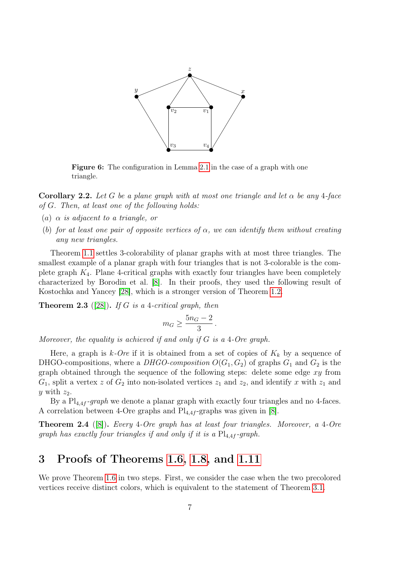

Figure 6: The configuration in Lemma [2.1](#page-5-1) in the case of a graph with one triangle.

**Corollary 2.2.** Let G be a plane graph with at most one triangle and let  $\alpha$  be any 4-face of G. Then, at least one of the following holds:

- (a)  $\alpha$  is adjacent to a triangle, or
- (b) for at least one pair of opposite vertices of  $\alpha$ , we can identify them without creating any new triangles.

Theorem [1.1](#page-1-1) settles 3-colorability of planar graphs with at most three triangles. The smallest example of a planar graph with four triangles that is not 3-colorable is the complete graph  $K_4$ . Plane 4-critical graphs with exactly four triangles have been completely characterized by Borodin et al. [\[8\]](#page-17-14). In their proofs, they used the following result of Kostochka and Yancey [\[28\]](#page-18-4), which is a stronger version of Theorem [1.2.](#page-1-0)

<span id="page-6-1"></span>**Theorem 2.3** ([\[28\]](#page-18-4)). If G is a 4-critical graph, then

$$
m_G \geq \frac{5n_G-2}{3}
$$

.

Moreover, the equality is achieved if and only if  $G$  is a 4-Ore graph.

Here, a graph is  $k$ -Ore if it is obtained from a set of copies of  $K_k$  by a sequence of DHGO-compositions, where a DHGO-composition  $O(G_1, G_2)$  of graphs  $G_1$  and  $G_2$  is the graph obtained through the sequence of the following steps: delete some edge  $xy$  from  $G_1$ , split a vertex z of  $G_2$  into non-isolated vertices  $z_1$  and  $z_2$ , and identify x with  $z_1$  and y with  $z_2$ .

By a  $Pl_{4,4f}$ -graph we denote a planar graph with exactly four triangles and no 4-faces. A correlation between 4-Ore graphs and  $Pl_{4,4f}$ -graphs was given in [\[8\]](#page-17-14).

<span id="page-6-2"></span>Theorem 2.4 ([\[8\]](#page-17-14)). Every 4-Ore graph has at least four triangles. Moreover, a 4-Ore graph has exactly four triangles if and only if it is a  $Pl_{4,4f}$ -graph.

## 3 Proofs of Theorems [1.6,](#page-2-1) [1.8,](#page-3-3) and [1.11](#page-4-2)

<span id="page-6-0"></span>We prove Theorem [1.6](#page-2-1) in two steps. First, we consider the case when the two precolored vertices receive distinct colors, which is equivalent to the statement of Theorem [3.1.](#page-6-0)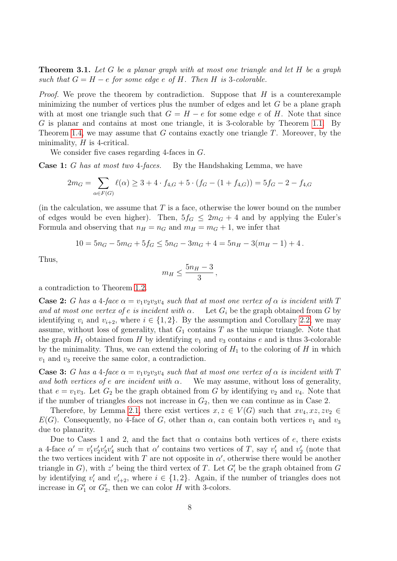**Theorem 3.1.** Let  $G$  be a planar graph with at most one triangle and let  $H$  be a graph such that  $G = H - e$  for some edge e of H. Then H is 3-colorable.

*Proof.* We prove the theorem by contradiction. Suppose that  $H$  is a counterexample minimizing the number of vertices plus the number of edges and let  $G$  be a plane graph with at most one triangle such that  $G = H - e$  for some edge e of H. Note that since G is planar and contains at most one triangle, it is 3-colorable by Theorem [1.1.](#page-1-1) By Theorem [1.4,](#page-1-2) we may assume that  $G$  contains exactly one triangle  $T$ . Moreover, by the minimality,  $H$  is 4-critical.

We consider five cases regarding 4-faces in G.

**Case 1:** G has at most two 4-faces. By the Handshaking Lemma, we have

$$
2m_G = \sum_{\alpha \in F(G)} \ell(\alpha) \ge 3 + 4 \cdot f_{4,G} + 5 \cdot (f_G - (1 + f_{4,G})) = 5f_G - 2 - f_{4,G}
$$

(in the calculation, we assume that  $T$  is a face, otherwise the lower bound on the number of edges would be even higher). Then,  $5f_G \leq 2m_G + 4$  and by applying the Euler's Formula and observing that  $n_H = n_G$  and  $m_H = m_G + 1$ , we infer that

$$
10 = 5n_G - 5m_G + 5f_G \le 5n_G - 3m_G + 4 = 5n_H - 3(m_H - 1) + 4.
$$

Thus,

$$
m_H \leq \frac{5n_H-3}{3},
$$

a contradiction to Theorem [1.2.](#page-1-0)

**Case 2:** G has a 4-face  $\alpha = v_1v_2v_3v_4$  such that at most one vertex of  $\alpha$  is incident with T and at most one vertex of e is incident with  $\alpha$ . Let  $G_i$  be the graph obtained from G by identifying  $v_i$  and  $v_{i+2}$ , where  $i \in \{1,2\}$ . By the assumption and Corollary [2.2,](#page-5-2) we may assume, without loss of generality, that  $G_1$  contains  $T$  as the unique triangle. Note that the graph  $H_1$  obtained from H by identifying  $v_1$  and  $v_3$  contains e and is thus 3-colorable by the minimality. Thus, we can extend the coloring of  $H_1$  to the coloring of H in which  $v_1$  and  $v_3$  receive the same color, a contradiction.

**Case 3:** G has a 4-face  $\alpha = v_1v_2v_3v_4$  such that at most one vertex of  $\alpha$  is incident with T and both vertices of e are incident with  $\alpha$ . We may assume, without loss of generality, that  $e = v_1v_3$ . Let  $G_2$  be the graph obtained from G by identifying  $v_2$  and  $v_4$ . Note that if the number of triangles does not increase in  $G_2$ , then we can continue as in Case 2.

Therefore, by Lemma [2.1,](#page-5-1) there exist vertices  $x, z \in V(G)$  such that  $xv_4, xz, zv_2 \in$  $E(G)$ . Consequently, no 4-face of G, other than  $\alpha$ , can contain both vertices  $v_1$  and  $v_3$ due to planarity.

Due to Cases 1 and 2, and the fact that  $\alpha$  contains both vertices of e, there exists a 4-face  $\alpha' = v_1'v_2'v_3'v_4'$  such that  $\alpha'$  contains two vertices of T, say  $v_1'$  and  $v_2'$  (note that the two vertices incident with T are not opposite in  $\alpha'$ , otherwise there would be another triangle in  $G$ ), with  $z'$  being the third vertex of T. Let  $G'_{i}$  be the graph obtained from  $G$ by identifying  $v'_i$  and  $v'_{i+2}$ , where  $i \in \{1,2\}$ . Again, if the number of triangles does not increase in  $G'_1$  or  $G'_2$ , then we can color H with 3-colors.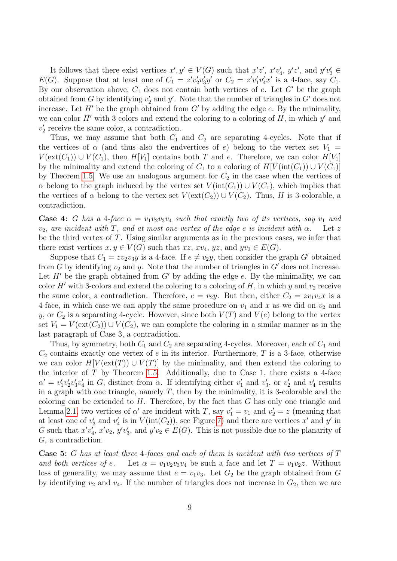It follows that there exist vertices  $x', y' \in V(G)$  such that  $x'z', x'v'_4, y'z'$ , and  $y'v'_3 \in$  $E(G)$ . Suppose that at least one of  $C_1 = z'v'_2v'_3y'$  or  $C_2 = z'v'_1v'_4x'$  is a 4-face, say  $C_1$ . By our observation above,  $C_1$  does not contain both vertices of e. Let  $G'$  be the graph obtained from G by identifying  $v_2'$  and  $y'$ . Note that the number of triangles in G' does not increase. Let  $H'$  be the graph obtained from  $G'$  by adding the edge e. By the minimality, we can color  $H'$  with 3 colors and extend the coloring to a coloring of  $H$ , in which  $y'$  and  $v_2'$  receive the same color, a contradiction.

Thus, we may assume that both  $C_1$  and  $C_2$  are separating 4-cycles. Note that if the vertices of  $\alpha$  (and thus also the endvertices of e) belong to the vertex set  $V_1 =$  $V(\text{ext}(C_1)) \cup V(C_1)$ , then  $H[V_1]$  contains both T and e. Therefore, we can color  $H[V_1]$ by the minimality and extend the coloring of  $C_1$  to a coloring of  $H[V(\text{int}(C_1)) \cup V(C_1)]$ by Theorem [1.5.](#page-1-4) We use an analogous argument for  $C_2$  in the case when the vertices of  $\alpha$  belong to the graph induced by the vertex set  $V(\text{int}(C_1)) \cup V(C_1)$ , which implies that the vertices of  $\alpha$  belong to the vertex set  $V(\text{ext}(C_2)) \cup V(C_2)$ . Thus, H is 3-colorable, a contradiction.

**Case 4:** G has a 4-face  $\alpha = v_1v_2v_3v_4$  such that exactly two of its vertices, say  $v_1$  and  $v_2$ , are incident with T, and at most one vertex of the edge e is incident with  $\alpha$ . Let z be the third vertex of  $T$ . Using similar arguments as in the previous cases, we infer that there exist vertices  $x, y \in V(G)$  such that  $xz, xv_4, yz$ , and  $yv_3 \in E(G)$ .

Suppose that  $C_1 = zv_2v_3y$  is a 4-face. If  $e \neq v_2y$ , then consider the graph G' obtained from G by identifying  $v_2$  and y. Note that the number of triangles in G' does not increase. Let  $H'$  be the graph obtained from  $G'$  by adding the edge e. By the minimality, we can color H' with 3-colors and extend the coloring to a coloring of H, in which y and  $v_2$  receive the same color, a contradiction. Therefore,  $e = v_2y$ . But then, either  $C_2 = zv_1v_4x$  is a 4-face, in which case we can apply the same procedure on  $v_1$  and x as we did on  $v_2$  and y, or  $C_2$  is a separating 4-cycle. However, since both  $V(T)$  and  $V(e)$  belong to the vertex set  $V_1 = V(\text{ext}(C_2)) \cup V(C_2)$ , we can complete the coloring in a similar manner as in the last paragraph of Case 3, a contradiction.

Thus, by symmetry, both  $C_1$  and  $C_2$  are separating 4-cycles. Moreover, each of  $C_1$  and  $C_2$  contains exactly one vertex of e in its interior. Furthermore, T is a 3-face, otherwise we can color  $H[V(\text{ext}(T)) \cup V(T)]$  by the minimality, and then extend the coloring to the interior of  $T$  by Theorem [1.5.](#page-1-4) Additionally, due to Case 1, there exists a 4-face  $\alpha' = v'_1v'_2v'_3v'_4$  in G, distinct from  $\alpha$ . If identifying either  $v'_1$  and  $v'_3$ , or  $v'_2$  and  $v'_4$  results in a graph with one triangle, namely  $T$ , then by the minimality, it is 3-colorable and the coloring can be extended to  $H$ . Therefore, by the fact that  $G$  has only one triangle and Lemma [2.1,](#page-5-1) two vertices of  $\alpha'$  are incident with T, say  $v'_1 = v_1$  and  $v'_2 = z$  (meaning that at least one of  $v'_3$  and  $v'_4$  is in  $V(\text{int}(C_2))$ , see Figure [7\)](#page-9-0) and there are vertices  $x'$  and  $y'$  in G such that  $x'v'_4$ ,  $x'v_2$ ,  $y'v'_3$ , and  $y'v_2 \in E(G)$ . This is not possible due to the planarity of G, a contradiction.

**Case 5:** G has at least three 4-faces and each of them is incident with two vertices of  $T$ and both vertices of e. Let  $\alpha = v_1v_2v_3v_4$  be such a face and let  $T = v_1v_2z$ . Without loss of generality, we may assume that  $e = v_1v_3$ . Let  $G_2$  be the graph obtained from G by identifying  $v_2$  and  $v_4$ . If the number of triangles does not increase in  $G_2$ , then we are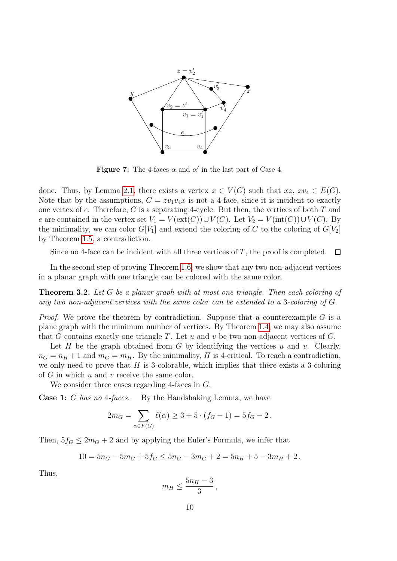<span id="page-9-0"></span>

Figure 7: The 4-faces  $\alpha$  and  $\alpha'$  in the last part of Case 4.

done. Thus, by Lemma [2.1,](#page-5-1) there exists a vertex  $x \in V(G)$  such that  $xz, xv_4 \in E(G)$ . Note that by the assumptions,  $C = zv_1v_4x$  is not a 4-face, since it is incident to exactly one vertex of  $e$ . Therefore,  $C$  is a separating 4-cycle. But then, the vertices of both  $T$  and e are contained in the vertex set  $V_1 = V(\text{ext}(C)) \cup V(C)$ . Let  $V_2 = V(\text{int}(C)) \cup V(C)$ . By the minimality, we can color  $G[V_1]$  and extend the coloring of C to the coloring of  $G[V_2]$ by Theorem [1.5,](#page-1-4) a contradiction.

Since no 4-face can be incident with all three vertices of T, the proof is completed.  $\Box$ 

In the second step of proving Theorem [1.6,](#page-2-1) we show that any two non-adjacent vertices in a planar graph with one triangle can be colored with the same color.

<span id="page-9-1"></span>Theorem 3.2. Let G be a planar graph with at most one triangle. Then each coloring of any two non-adjacent vertices with the same color can be extended to a 3-coloring of G.

*Proof.* We prove the theorem by contradiction. Suppose that a counterexample  $G$  is a plane graph with the minimum number of vertices. By Theorem [1.4,](#page-1-2) we may also assume that G contains exactly one triangle T. Let  $u$  and  $v$  be two non-adjacent vertices of  $G$ .

Let H be the graph obtained from G by identifying the vertices u and v. Clearly,  $n_G = n_H + 1$  and  $m_G = m_H$ . By the minimality, H is 4-critical. To reach a contradiction, we only need to prove that  $H$  is 3-colorable, which implies that there exists a 3-coloring of  $G$  in which  $u$  and  $v$  receive the same color.

We consider three cases regarding 4-faces in G.

Case 1: G has no 4-faces. By the Handshaking Lemma, we have

$$
2m_G = \sum_{\alpha \in F(G)} \ell(\alpha) \ge 3 + 5 \cdot (f_G - 1) = 5f_G - 2.
$$

Then,  $5f_G \leq 2m_G + 2$  and by applying the Euler's Formula, we infer that

$$
10 = 5nG - 5mG + 5fG \le 5nG - 3mG + 2 = 5nH + 5 - 3mH + 2.
$$

Thus,

$$
m_H \leq \frac{5n_H-3}{3},
$$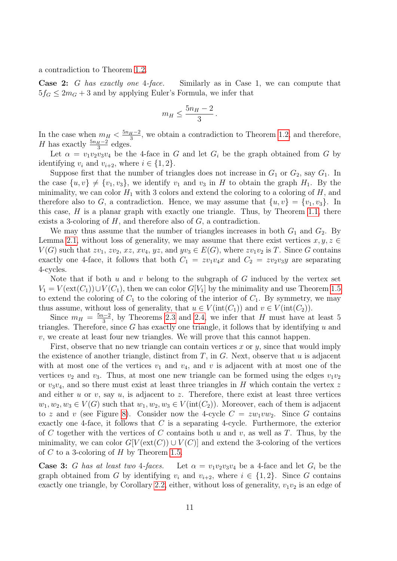a contradiction to Theorem [1.2.](#page-1-0)

Case 2: G has exactly one 4-face. Similarly as in Case 1, we can compute that  $5f<sub>G</sub> \leq 2m<sub>G</sub> + 3$  and by applying Euler's Formula, we infer that

$$
m_H \le \frac{5n_H - 2}{3}
$$

.

In the case when  $m_H < \frac{5n_H-2}{3}$  $\frac{H^{-2}}{3}$ , we obtain a contradiction to Theorem [1.2,](#page-1-0) and therefore, *H* has exactly  $\frac{5n_H-2}{3}$  edges.

Let  $\alpha = v_1v_2v_3v_4$  be the 4-face in G and let  $G_i$  be the graph obtained from G by identifying  $v_i$  and  $v_{i+2}$ , where  $i \in \{1,2\}$ .

Suppose first that the number of triangles does not increase in  $G_1$  or  $G_2$ , say  $G_1$ . In the case  $\{u, v\} \neq \{v_1, v_3\}$ , we identify  $v_1$  and  $v_3$  in H to obtain the graph  $H_1$ . By the minimality, we can color  $H_1$  with 3 colors and extend the coloring to a coloring of  $H$ , and therefore also to G, a contradiction. Hence, we may assume that  $\{u, v\} = \{v_1, v_3\}$ . In this case,  $H$  is a planar graph with exactly one triangle. Thus, by Theorem [1.1,](#page-1-1) there exists a 3-coloring of  $H$ , and therefore also of  $G$ , a contradiction.

We may thus assume that the number of triangles increases in both  $G_1$  and  $G_2$ . By Lemma [2.1,](#page-5-1) without loss of generality, we may assume that there exist vertices  $x, y, z \in$  $V(G)$  such that  $zv_1, zv_2, xz, xv_4, yz$ , and  $yv_3 \in E(G)$ , where  $zv_1v_2$  is T. Since G contains exactly one 4-face, it follows that both  $C_1 = zv_1v_4x$  and  $C_2 = zv_2v_3y$  are separating 4-cycles.

Note that if both  $u$  and  $v$  belong to the subgraph of  $G$  induced by the vertex set  $V_1 = V(\text{ext}(C_1)) \cup V(C_1)$ , then we can color  $G[V_1]$  by the minimality and use Theorem [1.5](#page-1-4) to extend the coloring of  $C_1$  to the coloring of the interior of  $C_1$ . By symmetry, we may thus assume, without loss of generality, that  $u \in V(int(C_1))$  and  $v \in V(int(C_2))$ .

Since  $m_H = \frac{5n-2}{3}$  $\frac{3^{2}-2}{3}$ , by Theorems [2.3](#page-6-1) and [2.4,](#page-6-2) we infer that H must have at least 5 triangles. Therefore, since  $G$  has exactly one triangle, it follows that by identifying  $u$  and  $v$ , we create at least four new triangles. We will prove that this cannot happen.

First, observe that no new triangle can contain vertices x or  $y$ , since that would imply the existence of another triangle, distinct from  $T$ , in  $G$ . Next, observe that  $u$  is adjacent with at most one of the vertices  $v_1$  and  $v_4$ , and v is adjacent with at most one of the vertices  $v_2$  and  $v_3$ . Thus, at most one new triangle can be formed using the edges  $v_1v_2$ or  $v_3v_4$ , and so there must exist at least three triangles in H which contain the vertex z and either  $u$  or  $v$ , say  $u$ , is adjacent to  $z$ . Therefore, there exist at least three vertices  $w_1, w_2, w_3 \in V(G)$  such that  $w_1, w_2, w_3 \in V(\text{int}(C_2))$ . Moreover, each of them is adjacent to z and v (see Figure [8\)](#page-11-0). Consider now the 4-cycle  $C = zw_1vw_2$ . Since G contains exactly one 4-face, it follows that C is a separating 4-cycle. Furthermore, the exterior of C together with the vertices of C contains both u and v, as well as T. Thus, by the minimality, we can color  $G[V(\text{ext}(C)) \cup V(C)]$  and extend the 3-coloring of the vertices of C to a 3-coloring of H by Theorem [1.5.](#page-1-4)

**Case 3:** G has at least two 4-faces. Let  $\alpha = v_1v_2v_3v_4$  be a 4-face and let  $G_i$  be the graph obtained from G by identifying  $v_i$  and  $v_{i+2}$ , where  $i \in \{1,2\}$ . Since G contains exactly one triangle, by Corollary [2.2,](#page-5-2) either, without loss of generality,  $v_1v_2$  is an edge of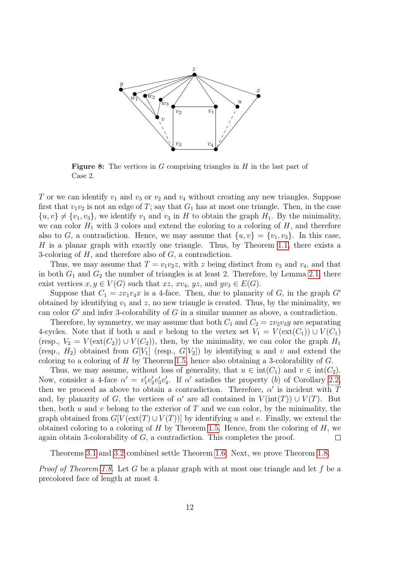<span id="page-11-0"></span>

**Figure 8:** The vertices in  $G$  comprising triangles in  $H$  in the last part of Case 2.

T or we can identify  $v_1$  and  $v_3$  or  $v_2$  and  $v_4$  without creating any new triangles. Suppose first that  $v_1v_2$  is not an edge of T; say that  $G_1$  has at most one triangle. Then, in the case  $\{u, v\} \neq \{v_1, v_3\}$ , we identify  $v_1$  and  $v_3$  in H to obtain the graph  $H_1$ . By the minimality, we can color  $H_1$  with 3 colors and extend the coloring to a coloring of  $H$ , and therefore also to G, a contradiction. Hence, we may assume that  $\{u, v\} = \{v_1, v_3\}$ . In this case, H is a planar graph with exactly one triangle. Thus, by Theorem [1.1,](#page-1-1) there exists a 3-coloring of  $H$ , and therefore also of  $G$ , a contradiction.

Thus, we may assume that  $T = v_1v_2z$ , with z being distinct from  $v_3$  and  $v_4$ , and that in both  $G_1$  and  $G_2$  the number of triangles is at least 2. Therefore, by Lemma [2.1,](#page-5-1) there exist vertices  $x, y \in V(G)$  such that  $xz, xv_4, yz$ , and  $yv_3 \in E(G)$ .

Suppose that  $C_1 = zv_1v_4x$  is a 4-face. Then, due to planarity of G, in the graph G' obtained by identifying  $v_1$  and z, no new triangle is created. Thus, by the minimality, we can color  $G'$  and infer 3-colorability of  $G$  in a similar manner as above, a contradiction.

Therefore, by symmetry, we may assume that both  $C_1$  and  $C_2 = zv_2v_3y$  are separating 4-cycles. Note that if both u and v belong to the vertex set  $V_1 = V(\text{ext}(C_1)) \cup V(C_1)$ (resp.,  $V_2 = V(\text{ext}(C_2)) \cup V(C_2)$ ), then, by the minimality, we can color the graph  $H_1$ (resp.,  $H_2$ ) obtained from  $G[V_1]$  (resp.,  $G[V_2]$ ) by identifying u and v and extend the coloring to a coloring of  $H$  by Theorem [1.5,](#page-1-4) hence also obtaining a 3-colorability of  $G$ .

Thus, we may assume, without loss of generality, that  $u \in \text{int}(C_1)$  and  $v \in \text{int}(C_2)$ . Now, consider a 4-face  $\alpha' = v_1' v_2' v_3' v_4'$ . If  $\alpha'$  satisfies the property (b) of Corollary [2.2,](#page-5-2) then we proceed as above to obtain a contradiction. Therefore,  $\alpha'$  is incident with T and, by planarity of G, the vertices of  $\alpha'$  are all contained in  $V(\text{int}(T)) \cup V(T)$ . But then, both  $u$  and  $v$  belong to the exterior of  $T$  and we can color, by the minimality, the graph obtained from  $G[V(\text{ext}(T) \cup V(T))]$  by identifying u and v. Finally, we extend the obtained coloring to a coloring of  $H$  by Theorem [1.5.](#page-1-4) Hence, from the coloring of  $H$ , we again obtain 3-colorability of  $G$ , a contradiction. This completes the proof.  $\Box$ 

Theorems [3.1](#page-6-0) and [3.2](#page-9-1) combined settle Theorem [1.6.](#page-2-1) Next, we prove Theorem [1.8.](#page-3-3)

*Proof of Theorem [1.8.](#page-3-3)* Let G be a planar graph with at most one triangle and let f be a precolored face of length at most 4.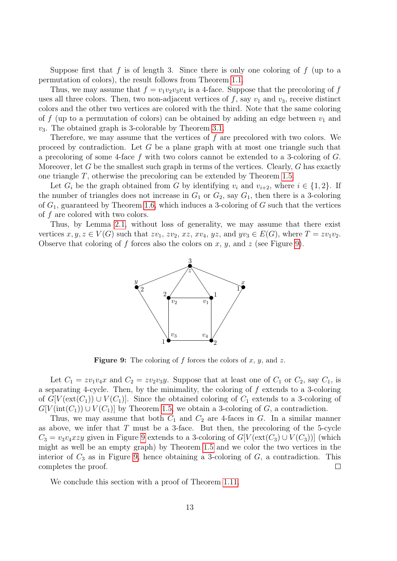Suppose first that f is of length 3. Since there is only one coloring of f (up to a permutation of colors), the result follows from Theorem [1.1.](#page-1-1)

Thus, we may assume that  $f = v_1v_2v_3v_4$  is a 4-face. Suppose that the precoloring of f uses all three colors. Then, two non-adjacent vertices of f, say  $v_1$  and  $v_3$ , receive distinct colors and the other two vertices are colored with the third. Note that the same coloring of f (up to a permutation of colors) can be obtained by adding an edge between  $v_1$  and  $v_3$ . The obtained graph is 3-colorable by Theorem [3.1.](#page-6-0)

Therefore, we may assume that the vertices of f are precolored with two colors. We proceed by contradiction. Let  $G$  be a plane graph with at most one triangle such that a precoloring of some 4-face f with two colors cannot be extended to a 3-coloring of G. Moreover, let G be the smallest such graph in terms of the vertices. Clearly,  $G$  has exactly one triangle T, otherwise the precoloring can be extended by Theorem [1.5.](#page-1-4)

Let  $G_i$  be the graph obtained from G by identifying  $v_i$  and  $v_{i+2}$ , where  $i \in \{1,2\}$ . If the number of triangles does not increase in  $G_1$  or  $G_2$ , say  $G_1$ , then there is a 3-coloring of  $G_1$ , guaranteed by Theorem [1.6,](#page-2-1) which induces a 3-coloring of G such that the vertices of f are colored with two colors.

<span id="page-12-0"></span>Thus, by Lemma [2.1,](#page-5-1) without loss of generality, we may assume that there exist vertices  $x, y, z \in V(G)$  such that  $zv_1, zv_2, xz, xv_4, yz$ , and  $yv_3 \in E(G)$ , where  $T = zv_1v_2$ . Observe that coloring of f forces also the colors on x, y, and z (see Figure [9\)](#page-12-0).



**Figure 9:** The coloring of f forces the colors of  $x, y$ , and  $z$ .

Let  $C_1 = zv_1v_4x$  and  $C_2 = zv_2v_3y$ . Suppose that at least one of  $C_1$  or  $C_2$ , say  $C_1$ , is a separating 4-cycle. Then, by the minimality, the coloring of f extends to a 3-coloring of  $G[V(\text{ext}(C_1)) \cup V(C_1)]$ . Since the obtained coloring of  $C_1$  extends to a 3-coloring of  $G[V(int(C_1)) \cup V(C_1)]$  by Theorem [1.5,](#page-1-4) we obtain a 3-coloring of G, a contradiction.

Thus, we may assume that both  $C_1$  and  $C_2$  are 4-faces in G. In a similar manner as above, we infer that  $T$  must be a 3-face. But then, the precoloring of the 5-cycle  $C_3 = v_3v_4xzy$  given in Figure [9](#page-12-0) extends to a 3-coloring of  $G[V(\text{ext}(C_3) \cup V(C_3))]$  (which might as well be an empty graph) by Theorem [1.5](#page-1-4) and we color the two vertices in the interior of  $C_3$  as in Figure [9,](#page-12-0) hence obtaining a 3-coloring of  $G$ , a contradiction. This completes the proof.  $\Box$ 

We conclude this section with a proof of Theorem [1.11.](#page-4-2)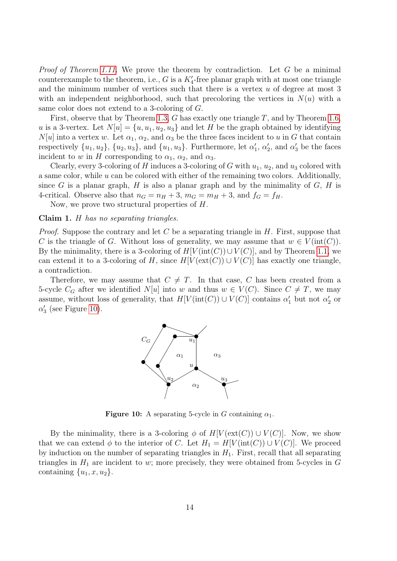*Proof of Theorem [1.11.](#page-4-2)* We prove the theorem by contradiction. Let  $G$  be a minimal counterexample to the theorem, i.e., G is a  $K_4'$ -free planar graph with at most one triangle and the minimum number of vertices such that there is a vertex  $u$  of degree at most 3 with an independent neighborhood, such that precoloring the vertices in  $N(u)$  with a same color does not extend to a 3-coloring of G.

First, observe that by Theorem [1.3,](#page-1-3)  $G$  has exactly one triangle  $T$ , and by Theorem [1.6,](#page-2-1) u is a 3-vertex. Let  $N[u] = \{u, u_1, u_2, u_3\}$  and let H be the graph obtained by identifying  $N[u]$  into a vertex w. Let  $\alpha_1, \alpha_2$ , and  $\alpha_3$  be the three faces incident to u in G that contain respectively  $\{u_1, u_2\}$ ,  $\{u_2, u_3\}$ , and  $\{u_1, u_3\}$ . Furthermore, let  $\alpha'_1$ ,  $\alpha'_2$ , and  $\alpha'_3$  be the faces incident to w in H corresponding to  $\alpha_1$ ,  $\alpha_2$ , and  $\alpha_3$ .

Clearly, every 3-coloring of H induces a 3-coloring of G with  $u_1, u_2$ , and  $u_3$  colored with a same color, while  $u$  can be colored with either of the remaining two colors. Additionally, since G is a planar graph, H is also a planar graph and by the minimality of  $G$ , H is 4-critical. Observe also that  $n_G = n_H + 3$ ,  $m_G = m_H + 3$ , and  $f_G = f_H$ .

Now, we prove two structural properties of H.

### <span id="page-13-1"></span>Claim 1. H has no separating triangles.

*Proof.* Suppose the contrary and let C be a separating triangle in  $H$ . First, suppose that C is the triangle of G. Without loss of generality, we may assume that  $w \in V(\text{int}(C))$ . By the minimality, there is a 3-coloring of  $H[V(int(C)) \cup V(C)]$ , and by Theorem [1.1,](#page-1-1) we can extend it to a 3-coloring of H, since  $H[V(\text{ext}(C)) \cup V(C)]$  has exactly one triangle, a contradiction.

<span id="page-13-0"></span>Therefore, we may assume that  $C \neq T$ . In that case, C has been created from a 5-cycle  $C_G$  after we identified  $N[u]$  into w and thus  $w \in V(C)$ . Since  $C \neq T$ , we may assume, without loss of generality, that  $H[V(\text{int}(C)) \cup V(C)]$  contains  $\alpha'_1$  but not  $\alpha'_2$  or  $\alpha'_3$  (see Figure [10\)](#page-13-0).



**Figure 10:** A separating 5-cycle in G containing  $\alpha_1$ .

By the minimality, there is a 3-coloring  $\phi$  of  $H[V(\text{ext}(C)) \cup V(C)]$ . Now, we show that we can extend  $\phi$  to the interior of C. Let  $H_1 = H[V(\text{int}(C)) \cup V(C)]$ . We proceed by induction on the number of separating triangles in  $H_1$ . First, recall that all separating triangles in  $H_1$  are incident to w; more precisely, they were obtained from 5-cycles in  $G$ containing  $\{u_1, x, u_2\}.$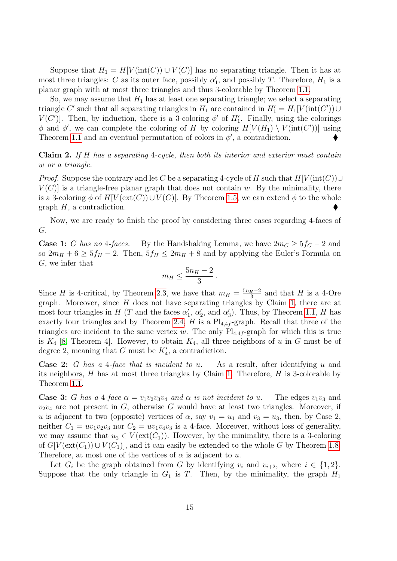Suppose that  $H_1 = H[V(int(C)) \cup V(C)]$  has no separating triangle. Then it has at most three triangles: C as its outer face, possibly  $\alpha'_1$ , and possibly T. Therefore,  $H_1$  is a planar graph with at most three triangles and thus 3-colorable by Theorem [1.1.](#page-1-1)

So, we may assume that  $H_1$  has at least one separating triangle; we select a separating triangle C' such that all separating triangles in  $H_1$  are contained in  $H_1' = H_1[V(\text{int}(C')) \cup$  $V(C')$ . Then, by induction, there is a 3-coloring  $\phi'$  of  $H'_1$ . Finally, using the colorings  $\phi$  and  $\phi'$ , we can complete the coloring of H by coloring  $H[V(H_1) \setminus V(\text{int}(C'))]$  using Theorem [1.1](#page-1-1) and an eventual permutation of colors in  $\phi'$ , a contradiction.

<span id="page-14-0"></span>**Claim 2.** If H has a separating 4-cycle, then both its interior and exterior must contain w or a triangle.

*Proof.* Suppose the contrary and let C be a separating 4-cycle of H such that  $H[V(int(C))\cup$  $V(C)$  is a triangle-free planar graph that does not contain w. By the minimality, there is a 3-coloring  $\phi$  of  $H[V(\text{ext}(C))\cup V(C)]$ . By Theorem [1.5,](#page-1-4) we can extend  $\phi$  to the whole graph  $H$ , a contradiction.

Now, we are ready to finish the proof by considering three cases regarding 4-faces of G.

**Case 1:** G has no 4-faces. By the Handshaking Lemma, we have  $2m<sub>G</sub> \ge 5f<sub>G</sub> - 2$  and so  $2m_H + 6 \geq 5f_H - 2$ . Then,  $5f_H \leq 2m_H + 8$  and by applying the Euler's Formula on G, we infer that

$$
m_H \leq \frac{5n_H-2}{3} \, .
$$

Since H is 4-critical, by Theorem [2.3,](#page-6-1) we have that  $m_H = \frac{5n_H-2}{3}$  $\frac{H^{-2}}{3}$  and that H is a 4-Ore graph. Moreover, since  $H$  does not have separating triangles by Claim [1,](#page-13-1) there are at most four triangles in H (T and the faces  $\alpha'_1$ ,  $\alpha'_2$ , and  $\alpha'_3$ ). Thus, by Theorem [1.1,](#page-1-1) H has exactly four triangles and by Theorem [2.4,](#page-6-2) H is a  $Pl_{4,4f}$ -graph. Recall that three of the triangles are incident to the same vertex w. The only  $Pl_{4,4f}$ -graph for which this is true is  $K_4$  [\[8,](#page-17-14) Theorem 4]. However, to obtain  $K_4$ , all three neighbors of u in G must be of degree 2, meaning that  $G$  must be  $K'_{4}$ , a contradiction.

**Case 2:** G has a 4-face that is incident to u. As a result, after identifying u and its neighbors, H has at most three triangles by Claim [1.](#page-13-1) Therefore, H is 3-colorable by Theorem [1.1.](#page-1-1)

**Case 3:** G has a 4-face  $\alpha = v_1v_2v_3v_4$  and  $\alpha$  is not incident to u. The edges  $v_1v_3$  and  $v_2v_4$  are not present in G, otherwise G would have at least two triangles. Moreover, if u is adjacent to two (opposite) vertices of  $\alpha$ , say  $v_1 = u_1$  and  $v_3 = u_3$ , then, by Case 2, neither  $C_1 = uv_1v_2v_3$  nor  $C_2 = uv_1v_4v_3$  is a 4-face. Moreover, without loss of generality, we may assume that  $u_2 \in V(\text{ext}(C_1))$ . However, by the minimality, there is a 3-coloring of  $G[V(\text{ext}(C_1)) \cup V(C_1)]$ , and it can easily be extended to the whole G by Theorem [1.8.](#page-3-3) Therefore, at most one of the vertices of  $\alpha$  is adjacent to u.

Let  $G_i$  be the graph obtained from G by identifying  $v_i$  and  $v_{i+2}$ , where  $i \in \{1,2\}$ . Suppose that the only triangle in  $G_1$  is T. Then, by the minimality, the graph  $H_1$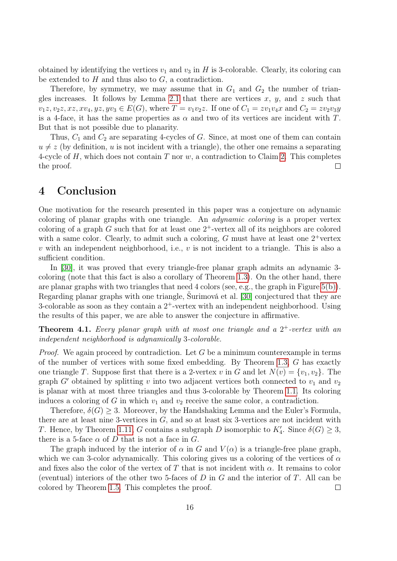obtained by identifying the vertices  $v_1$  and  $v_3$  in H is 3-colorable. Clearly, its coloring can be extended to  $H$  and thus also to  $G$ , a contradiction.

Therefore, by symmetry, we may assume that in  $G_1$  and  $G_2$  the number of trian-gles increases. It follows by Lemma [2.1](#page-5-1) that there are vertices  $x, y$ , and  $z$  such that  $v_1z, v_2z, xz, xv_4, yz, yv_3 \in E(G)$ , where  $T = v_1v_2z$ . If one of  $C_1 = zv_1v_4x$  and  $C_2 = zv_2v_3y$ is a 4-face, it has the same properties as  $\alpha$  and two of its vertices are incident with T. But that is not possible due to planarity.

Thus,  $C_1$  and  $C_2$  are separating 4-cycles of  $G$ . Since, at most one of them can contain  $u \neq z$  (by definition, u is not incident with a triangle), the other one remains a separating 4-cycle of H, which does not contain T nor w, a contradiction to Claim [2.](#page-14-0) This completes the proof.  $\Box$ 

### 4 Conclusion

One motivation for the research presented in this paper was a conjecture on adynamic coloring of planar graphs with one triangle. An adynamic coloring is a proper vertex coloring of a graph  $G$  such that for at least one  $2^+$ -vertex all of its neighbors are colored with a same color. Clearly, to admit such a coloring,  $G$  must have at least one  $2^+$ vertex v with an independent neighborhood, i.e.,  $v$  is not incident to a triangle. This is also a sufficient condition.

In [\[30\]](#page-18-6), it was proved that every triangle-free planar graph admits an adynamic 3 coloring (note that this fact is also a corollary of Theorem [1.3\)](#page-1-3). On the other hand, there are planar graphs with two triangles that need 4 colors (see, e.g., the graph in Figure [5\(b\)\)](#page-5-0). Regarding planar graphs with one triangle, Šurimová et al. [\[30\]](#page-18-6) conjectured that they are 3-colorable as soon as they contain a  $2^+$ -vertex with an independent neighborhood. Using the results of this paper, we are able to answer the conjecture in affirmative.

**Theorem 4.1.** Every planar graph with at most one triangle and a  $2^+$ -vertex with an independent neighborhood is adynamically 3-colorable.

*Proof.* We again proceed by contradiction. Let  $G$  be a minimum counterexample in terms of the number of vertices with some fixed embedding. By Theorem [1.3,](#page-1-3) G has exactly one triangle T. Suppose first that there is a 2-vertex v in G and let  $N(v) = \{v_1, v_2\}$ . The graph G' obtained by splitting v into two adjacent vertices both connected to  $v_1$  and  $v_2$ is planar with at most three triangles and thus 3-colorable by Theorem [1.1.](#page-1-1) Its coloring induces a coloring of G in which  $v_1$  and  $v_2$  receive the same color, a contradiction.

Therefore,  $\delta(G) \geq 3$ . Moreover, by the Handshaking Lemma and the Euler's Formula, there are at least nine 3-vertices in  $G$ , and so at least six 3-vertices are not incident with T. Hence, by Theorem [1.11,](#page-4-2) G contains a subgraph D isomorphic to  $K'_{4}$ . Since  $\delta(G) \geq 3$ , there is a 5-face  $\alpha$  of D that is not a face in G.

The graph induced by the interior of  $\alpha$  in G and  $V(\alpha)$  is a triangle-free plane graph, which we can 3-color adynamically. This coloring gives us a coloring of the vertices of  $\alpha$ and fixes also the color of the vertex of T that is not incident with  $\alpha$ . It remains to color (eventual) interiors of the other two 5-faces of  $D$  in  $G$  and the interior of  $T$ . All can be colored by Theorem [1.5.](#page-1-4) This completes the proof.  $\Box$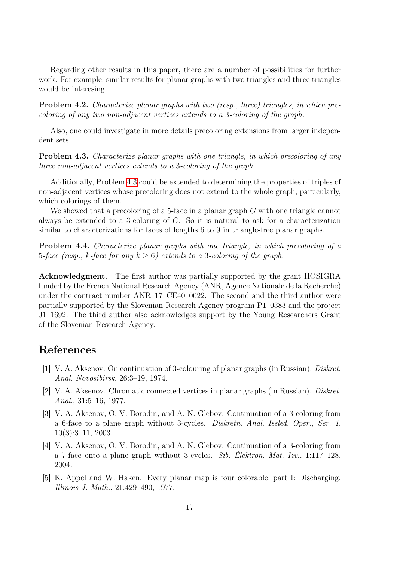Regarding other results in this paper, there are a number of possibilities for further work. For example, similar results for planar graphs with two triangles and three triangles would be interesing.

Problem 4.2. Characterize planar graphs with two (resp., three) triangles, in which precoloring of any two non-adjacent vertices extends to a 3-coloring of the graph.

Also, one could investigate in more details precoloring extensions from larger independent sets.

<span id="page-16-5"></span>Problem 4.3. Characterize planar graphs with one triangle, in which precoloring of any three non-adjacent vertices extends to a 3-coloring of the graph.

Additionally, Problem [4.3](#page-16-5) could be extended to determining the properties of triples of non-adjacent vertices whose precoloring does not extend to the whole graph; particularly, which colorings of them.

We showed that a precoloring of a 5-face in a planar graph G with one triangle cannot always be extended to a 3-coloring of G. So it is natural to ask for a characterization similar to characterizations for faces of lengths 6 to 9 in triangle-free planar graphs.

Problem 4.4. Characterize planar graphs with one triangle, in which precoloring of a 5-face (resp., k-face for any  $k > 6$ ) extends to a 3-coloring of the graph.

Acknowledgment. The first author was partially supported by the grant HOSIGRA funded by the French National Research Agency (ANR, Agence Nationale de la Recherche) under the contract number ANR–17–CE40–0022. The second and the third author were partially supported by the Slovenian Research Agency program P1–0383 and the project J1–1692. The third author also acknowledges support by the Young Researchers Grant of the Slovenian Research Agency.

## References

- <span id="page-16-1"></span>[1] V. A. Aksenov. On continuation of 3-colouring of planar graphs (in Russian). Diskret. Anal. Novosibirsk, 26:3–19, 1974.
- <span id="page-16-3"></span>[2] V. A. Aksenov. Chromatic connected vertices in planar graphs (in Russian). Diskret. Anal., 31:5–16, 1977.
- <span id="page-16-2"></span>[3] V. A. Aksenov, O. V. Borodin, and A. N. Glebov. Continuation of a 3-coloring from a 6-face to a plane graph without 3-cycles. Diskretn. Anal. Issled. Oper., Ser. 1, 10(3):3–11, 2003.
- <span id="page-16-4"></span>[4] V. A. Aksenov, O. V. Borodin, and A. N. Glebov. Continuation of a 3-coloring from a 7-face onto a plane graph without 3-cycles. Sib. Èlektron. Mat. Izv., 1:117–128, 2004.
- <span id="page-16-0"></span>[5] K. Appel and W. Haken. Every planar map is four colorable. part I: Discharging. Illinois J. Math., 21:429–490, 1977.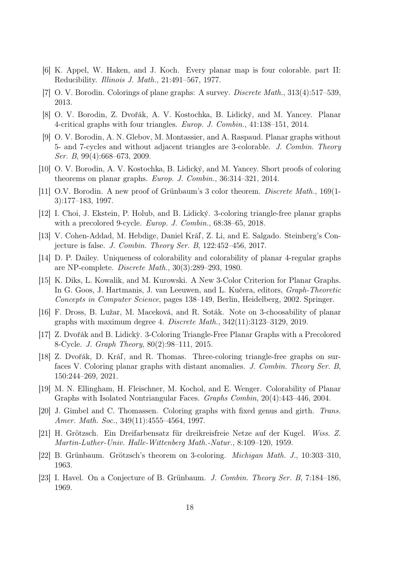- <span id="page-17-0"></span>[6] K. Appel, W. Haken, and J. Koch. Every planar map is four colorable. part II: Reducibility. Illinois J. Math., 21:491–567, 1977.
- <span id="page-17-2"></span>[7] O. V. Borodin. Colorings of plane graphs: A survey. Discrete Math., 313(4):517–539, 2013.
- <span id="page-17-14"></span>[8] O. V. Borodin, Z. Dvořák, A. V. Kostochka, B. Lidický, and M. Yancey. Planar 4-critical graphs with four triangles. Europ. J. Combin., 41:138–151, 2014.
- <span id="page-17-9"></span>[9] O. V. Borodin, A. N. Glebov, M. Montassier, and A. Raspaud. Planar graphs without 5- and 7-cycles and without adjacent triangles are 3-colorable. J. Combin. Theory Ser. B, 99(4):668–673, 2009.
- <span id="page-17-13"></span>[10] O. V. Borodin, A. V. Kostochka, B. Lidický, and M. Yancey. Short proofs of coloring theorems on planar graphs. Europ. J. Combin., 36:314–321, 2014.
- <span id="page-17-12"></span>[11] O.V. Borodin. A new proof of Grünbaum's 3 color theorem. *Discrete Math.*, 169(1-3):177–183, 1997.
- <span id="page-17-17"></span>[12] I. Choi, J. Ekstein, P. Holub, and B. Lidický. 3-coloring triangle-free planar graphs with a precolored 9-cycle. *Europ. J. Combin.*, 68:38–65, 2018.
- <span id="page-17-8"></span>[13] V. Cohen-Addad, M. Hebdige, Daniel Kráľ, Z. Li, and E. Salgado. Steinberg's Conjecture is false. J. Combin. Theory Ser. B, 122:452–456, 2017.
- <span id="page-17-1"></span>[14] D. P. Dailey. Uniqueness of colorability and colorability of planar 4-regular graphs are NP-complete. Discrete Math., 30(3):289–293, 1980.
- <span id="page-17-4"></span>[15] K. Diks, L. Kowalik, and M. Kurowski. A New 3-Color Criterion for Planar Graphs. In G. Goos, J. Hartmanis, J. van Leeuwen, and L. Kučera, editors, Graph-Theoretic Concepts in Computer Science, pages 138–149, Berlin, Heidelberg, 2002. Springer.
- <span id="page-17-10"></span>[16] F. Dross, B. Lužar, M. Maceková, and R. Soták. Note on 3-choosability of planar graphs with maximum degree 4. Discrete Math., 342(11):3123–3129, 2019.
- <span id="page-17-16"></span>[17] Z. Dvořák and B. Lidick`y. 3-Coloring Triangle-Free Planar Graphs with a Precolored 8-Cycle. J. Graph Theory, 80(2):98–111, 2015.
- <span id="page-17-7"></span>[18] Z. Dvořák, D. Kráľ, and R. Thomas. Three-coloring triangle-free graphs on surfaces V. Coloring planar graphs with distant anomalies. J. Combin. Theory Ser. B, 150:244–269, 2021.
- <span id="page-17-5"></span>[19] M. N. Ellingham, H. Fleischner, M. Kochol, and E. Wenger. Colorability of Planar Graphs with Isolated Nontriangular Faces. Graphs Combin, 20(4):443–446, 2004.
- <span id="page-17-15"></span>[20] J. Gimbel and C. Thomassen. Coloring graphs with fixed genus and girth. Trans. Amer. Math. Soc., 349(11):4555-4564, 1997.
- <span id="page-17-3"></span>[21] H. Grötzsch. Ein Dreifarbensatz für dreikreisfreie Netze auf der Kugel. Wiss. Z. Martin-Luther-Univ. Halle-Wittenberg Math.-Natur., 8:109–120, 1959.
- <span id="page-17-11"></span>[22] B. Grünbaum. Grötzsch's theorem on 3-coloring. Michigan Math. J., 10:303–310, 1963.
- <span id="page-17-6"></span>[23] I. Havel. On a Conjecture of B. Grünbaum. J. Combin. Theory Ser. B, 7:184–186, 1969.